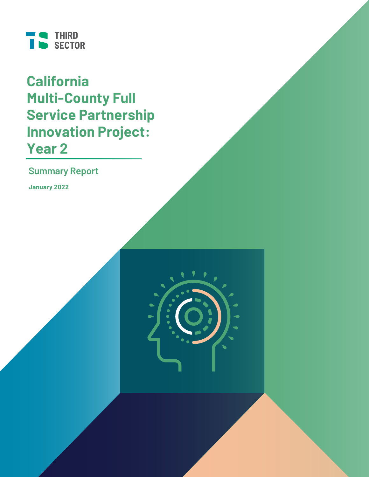

**California Multi-County Full Service Partnership Innovation Project: Year 2**

**Summary Report**

**January 2022**

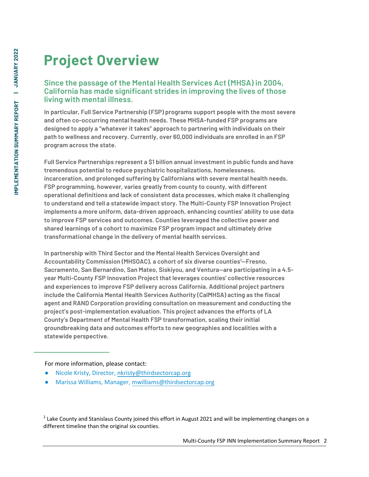# **Project Overview**

### **Since the passage of the Mental Health Services Act (MHSA) in 2004, California has made significant strides in improving the lives of those living with mental illness.**

**In particular, Full Service Partnership (FSP) programs support people with the most severe and often co-occurring mental health needs. These MHSA-funded FSP programs are designed to apply a "whatever it takes" approach to partnering with individuals on their path to wellness and recovery. Currently, over 60,000 individuals are enrolled in an FSP program across the state.** 

**Full Service Partnerships represent a \$1 billion annual investment in public funds and have tremendous potential to reduce psychiatric hospitalizations, homelessness, incarceration, and prolonged suffering by Californians with severe mental health needs. FSP programming, however, varies greatly from county to county, with different operational definitions and lack of consistent data processes, which make it challenging to understand and tell a statewide impact story. The Multi-County FSP Innovation Project implements a more uniform, data-driven approach, enhancing counties' ability to use data to improve FSP services and outcomes. Counties leveraged the collective power and shared learnings of a cohort to maximize FSP program impact and ultimately drive transformational change in the delivery of mental health services.** 

**In partnership with Third Sector and the Mental Health Services Oversight and Accountability Commission (MHSOAC), a cohort of six diverse counties<sup>1</sup>—Fresno, Sacramento, San Bernardino, San Mateo, Siskiyou, and Ventura—are participating in a 4.5 year Multi-County FSP Innovation Project that leverages counties' collective resources and experiences to improve FSP delivery across California. Additional project partners include the California Mental Health Services Authority (CalMHSA) acting as the fiscal agent and RAND Corporation providing consultation on measurement and conducting the project's post-implementation evaluation. This project advances the efforts of LA County's Department of Mental Health FSP transformation, scaling their initial groundbreaking data and outcomes efforts to new geographies and localities with a statewide perspective.** 

For more information, please [contact:](mailto:nkristy@thirdsectorcap.org)

- Nicole Kristy, Director, nkristy[@thirdsectorcap.org](mailto:mwilliams@thirdsectorcap.org)
- Marissa Williams, Manager, mwilliams@thirdsectorcap.org

 $<sup>1</sup>$  Lake County and Stanislaus County joined this effort in August 2021 and will be implementing changes on a</sup> different timeline than the original six counties.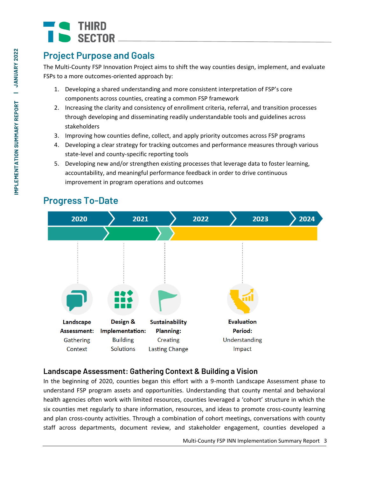## **Project Purpose and Goals**

The Multi-County FSP Innovation Project aims to shift the way counties design, implement, and evaluate FSPs to a more outcomes-oriented approach by:

- 1. Developing a shared understanding and more consistent interpretation of FSP's core components across counties, creating a common FSP framework
- 2. Increasing the clarity and consistency of enrollment criteria, referral, and transition processes through developing and disseminating readily understandable tools and guidelines across stakeholders
- 3. Improving how counties define, collect, and apply priority outcomes across FSP programs
- 4. Developing a clear strategy for tracking outcomes and performance measures through various state-level and county-specific reporting tools
- 5. Developing new and/or strengthen existing processes that leverage data to foster learning, accountability, and meaningful performance feedback in order to drive continuous improvement in program operations and outcomes



## **Progress To-Date**

## **Landscape Assessment: Gathering Context & Building a Vision**

In the beginning of 2020, counties began this effort with a 9-month Landscape Assessment phase to understand FSP program assets and opportunities. Understanding that county mental and behavioral health agencies often work with limited resources, counties leveraged a 'cohort' structure in which the six counties met regularly to share information, resources, and ideas to promote cross-county learning and plan cross-county activities. Through a combination of cohort meetings, conversations with county staff across departments, document review, and stakeholder engagement, counties developed a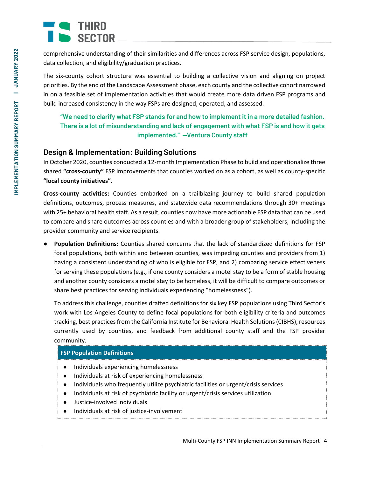comprehensive understanding of their similarities and differences across FSP service design, populations, data collection, and eligibility/graduation practices.

The six-county cohort structure was essential to building a collective vision and aligning on project priorities. By the end of the Landscape Assessment phase, each county and the collective cohort narrowed in on a feasible set of implementation activities that would create more data driven FSP programs and build increased consistency in the way FSPs are designed, operated, and assessed.

**"We need to clarify what FSP stands for and how to implement it in a more detailed fashion. There is a lot of misunderstanding and lack of engagement with what FSP is and how it gets implemented." —Ventura County staff**

## **Design & Implementation: Building Solutions**

In October 2020, counties conducted a 12-month Implementation Phase to build and operationalize three shared **"cross-county"** FSP improvements that counties worked on as a cohort, as well as county-specific **"local county initiatives"**.

**Cross-county activities:** Counties embarked on a trailblazing journey to build shared population definitions, outcomes, process measures, and statewide data recommendations through 30+ meetings with 25+ behavioral health staff. As a result, counties now have more actionable FSP data that can be used to compare and share outcomes across counties and with a broader group of stakeholders, including the provider community and service recipients.

● **Population Definitions:** Counties shared concerns that the lack of standardized definitions for FSP focal populations, both within and between counties, was impeding counties and providers from 1) having a consistent understanding of who is eligible for FSP, and 2) comparing service effectiveness for serving these populations (e.g., if one county considers a motel stay to be a form of stable housing and another county considers a motel stay to be homeless, it will be difficult to compare outcomes or share best practices for serving individuals experiencing "homelessness").

To address this challenge, counties drafted definitions for six key FSP populations using Third Sector's work with Los Angeles County to define focal populations for both eligibility criteria and outcomes tracking, best practices from the California Institute for Behavioral Health Solutions (CIBHS), resources currently used by counties, and feedback from additional county staff and the FSP provider community.

### **FSP Population Definitions**

- Individuals experiencing homelessness
- Individuals at risk of experiencing homelessness
- Individuals who frequently utilize psychiatric facilities or urgent/crisis services
- Individuals at risk of psychiatric facility or urgent/crisis services utilization
- Justice-involved individuals
- Individuals at risk of justice-involvement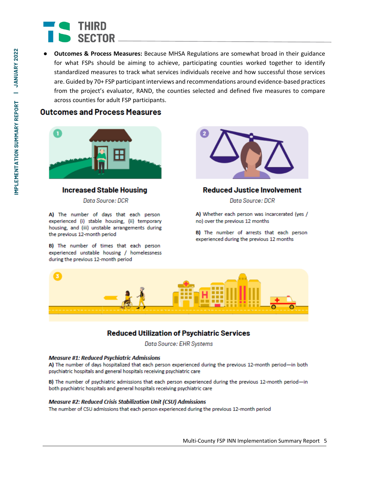**Outcomes & Process Measures:** Because MHSA Regulations are somewhat broad in their guidance for what FSPs should be aiming to achieve, participating counties worked together to identify standardized measures to track what services individuals receive and how successful those services are. Guided by 70+ FSP participant interviews and recommendations around evidence-based practices from the project's evaluator, RAND, the counties selected and defined five measures to compare across counties for adult FSP participants.

### **Outcomes and Process Measures**



### **Increased Stable Housing**

Data Source: DCR

A) The number of days that each person experienced (i) stable housing, (ii) temporary housing, and (iii) unstable arrangements during the previous 12-month period

B) The number of times that each person experienced unstable housing / homelessness during the previous 12-month period



### **Reduced Justice Involvement**

Data Source: DCR

A) Whether each person was incarcerated (yes / no) over the previous 12 months

B) The number of arrests that each person experienced during the previous 12 months



### **Reduced Utilization of Psychiatric Services**

Data Source: EHR Systems

#### **Measure #1: Reduced Psychiatric Admissions**

A) The number of days hospitalized that each person experienced during the previous 12-month period-in both psychiatric hospitals and general hospitals receiving psychiatric care

B) The number of psychiatric admissions that each person experienced during the previous 12-month period-in both psychiatric hospitals and general hospitals receiving psychiatric care

#### **Measure #2: Reduced Crisis Stabilization Unit (CSU) Admissions**

The number of CSU admissions that each person experienced during the previous 12-month period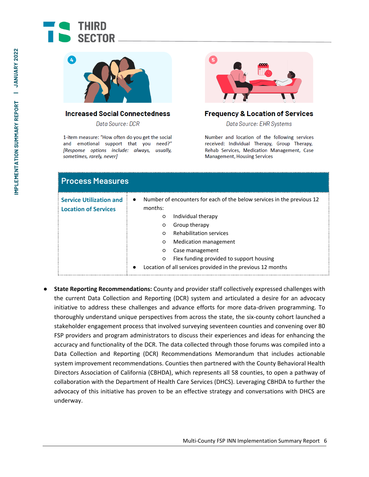



#### **Increased Social Connectedness**

Data Source: DCR

1-item measure: "How often do you get the social and emotional support that you need?" [Response options include: always, usually, sometimes, rarely, never]



### **Frequency & Location of Services**

Data Source: EHR Systems

Number and location of the following services received: Individual Therapy, Group Therapy, Rehab Services, Medication Management, Case **Management, Housing Services** 

| <b>Process Measures</b>                                       |                                                                                                                                                                                                                                                                                                                                                                                                                |
|---------------------------------------------------------------|----------------------------------------------------------------------------------------------------------------------------------------------------------------------------------------------------------------------------------------------------------------------------------------------------------------------------------------------------------------------------------------------------------------|
| <b>Service Utilization and</b><br><b>Location of Services</b> | Number of encounters for each of the below services in the previous 12<br>$\bullet$<br>months:<br>Individual therapy<br>$\circ$<br>Group therapy<br>$\circ$<br><b>Rehabilitation services</b><br>$\Omega$<br>Medication management<br>$\circ$<br>Case management<br>$\circ$<br>Flex funding provided to support housing<br>$\circ$<br>Location of all services provided in the previous 12 months<br>$\bullet$ |

● **State Reporting Recommendations:** County and provider staff collectively expressed challenges with the current Data Collection and Reporting (DCR) system and articulated a desire for an advocacy initiative to address these challenges and advance efforts for more data-driven programming. To thoroughly understand unique perspectives from across the state, the six-county cohort launched a stakeholder engagement process that involved surveying seventeen counties and convening over 80 FSP providers and program administrators to discuss their experiences and ideas for enhancing the accuracy and functionality of the DCR. The data collected through those forums was compiled into a Data Collection and Reporting (DCR) Recommendations Memorandum that includes actionable system improvement recommendations. Counties then partnered with the County Behavioral Health Directors Association of California (CBHDA), which represents all 58 counties, to open a pathway of collaboration with the Department of Health Care Services (DHCS). Leveraging CBHDA to further the advocacy of this initiative has proven to be an effective strategy and conversations with DHCS are underway.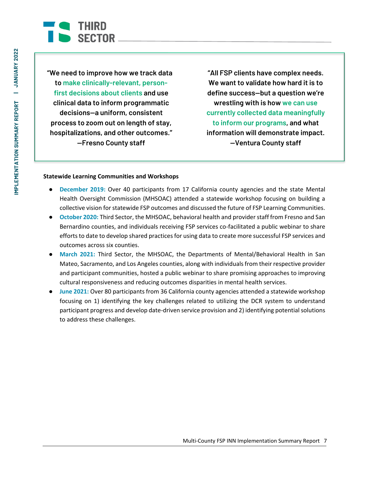

**"We need to improve how we track data to make clinically-relevant, personfirst decisions about clients and use clinical data to inform programmatic decisions—a uniform, consistent process to zoom out on length of stay, hospitalizations, and other outcomes." —Fresno County staff**

**"All FSP clients have complex needs. We want to validate how hard it is to define success—but a question we're wrestling with is how we can use currently collected data meaningfully to inform our programs, and what information will demonstrate impact. —Ventura County staff**

#### **Statewide Learning Communities and Workshops**

- **December 2019:** Over 40 participants from 17 California county agencies and the state Mental Health Oversight Commission (MHSOAC) attended a statewide workshop focusing on building a collective vision for statewide FSP outcomes and discussed the future of FSP Learning Communities.
- **October 2020:** Third Sector, the MHSOAC, behavioral health and provider staff from Fresno and San Bernardino counties, and individuals receiving FSP services co-facilitated a public webinar to share efforts to date to develop shared practices for using data to create more successful FSP services and outcomes across six counties.
- **March 2021:** Third Sector, the MHSOAC, the Departments of Mental/Behavioral Health in San Mateo, Sacramento, and Los Angeles counties, along with individuals from their respective provider and participant communities, hosted a public webinar to share promising approaches to improving cultural responsiveness and reducing outcomes disparities in mental health services.
- **June 2021:** Over 80 participants from 36 California county agencies attended a statewide workshop focusing on 1) identifying the key challenges related to utilizing the DCR system to understand participant progress and develop date-driven service provision and 2) identifying potential solutions to address these challenges.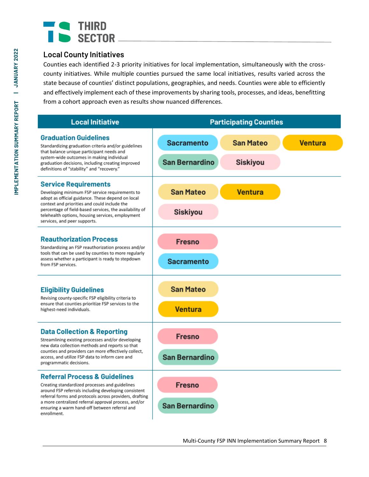## **Local County Initiatives**

Counties each identified 2-3 priority initiatives for local implementation, simultaneously with the crosscounty initiatives. While multiple counties pursued the same local initiatives, results varied across the state because of counties' distinct populations, geographies, and needs. Counties were able to efficiently and effectively implement each of these improvements by sharing tools, processes, and ideas, benefitting from a cohort approach even as results show nuanced differences.

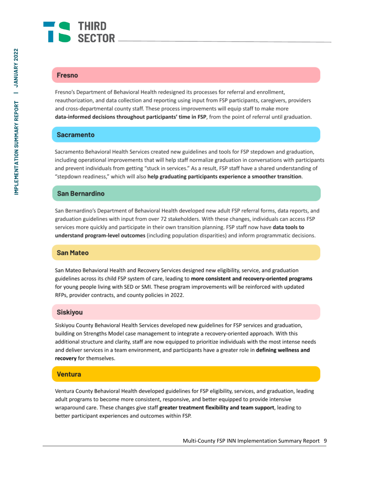

#### **Fresno**

Fresno's Department of Behavioral Health redesigned its processes for referral and enrollment, reauthorization, and data collection and reporting using input from FSP participants, caregivers, providers and cross-departmental county staff. These process improvements will equip staff to make more data-informed decisions throughout participants' time in FSP, from the point of referral until graduation.

### **Sacramento**

Sacramento Behavioral Health Services created new guidelines and tools for FSP stepdown and graduation, including operational improvements that will help staff normalize graduation in conversations with participants and prevent individuals from getting "stuck in services." As a result, FSP staff have a shared understanding of "stepdown readiness," which will also help graduating participants experience a smoother transition.

### **San Bernardino**

San Bernardino's Department of Behavioral Health developed new adult FSP referral forms, data reports, and graduation guidelines with input from over 72 stakeholders. With these changes, individuals can access FSP services more quickly and participate in their own transition planning. FSP staff now have **data tools to** understand program-level outcomes (including population disparities) and inform programmatic decisions.

#### **San Mateo**

San Mateo Behavioral Health and Recovery Services designed new eligibility, service, and graduation guidelines across its child FSP system of care, leading to more consistent and recovery-oriented programs for young people living with SED or SMI. These program improvements will be reinforced with updated RFPs, provider contracts, and county policies in 2022.

#### **Siskiyou**

Siskiyou County Behavioral Health Services developed new guidelines for FSP services and graduation, building on Strengths Model case management to integrate a recovery-oriented approach. With this additional structure and clarity, staff are now equipped to prioritize individuals with the most intense needs and deliver services in a team environment, and participants have a greater role in defining wellness and recovery for themselves.

### **Ventura**

Ventura County Behavioral Health developed guidelines for FSP eligibility, services, and graduation, leading adult programs to become more consistent, responsive, and better equipped to provide intensive wraparound care. These changes give staff greater treatment flexibility and team support, leading to better participant experiences and outcomes within FSP.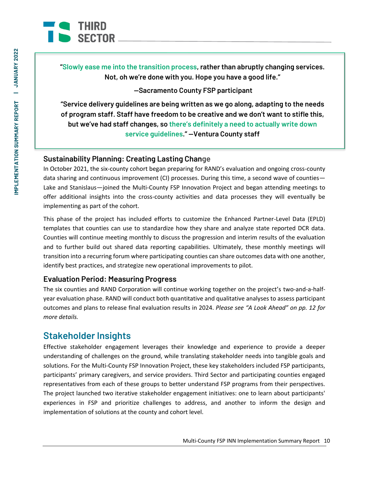

**"Slowly ease me into the transition process, rather than abruptly changing services. Not, oh we're done with you. Hope you have a good life."**

**—Sacramento County FSP participant**

**"Service delivery guidelines are being written as we go along, adapting to the needs of program staff. Staff have freedom to be creative and we don't want to stifle this, but we've had staff changes, so there's definitely a need to actually write down service guidelines." —Ventura County staff**

### **Sustainability Planning: Creating Lasting Change**

In October 2021, the six-county cohort began preparing for RAND's evaluation and ongoing cross-county data sharing and continuous improvement (CI) processes. During this time, a second wave of counties— Lake and Stanislaus—joined the Multi-County FSP Innovation Project and began attending meetings to offer additional insights into the cross-county activities and data processes they will eventually be implementing as part of the cohort.

This phase of the project has included efforts to customize the Enhanced Partner-Level Data (EPLD) templates that counties can use to standardize how they share and analyze state reported DCR data. Counties will continue meeting monthly to discuss the progression and interim results of the evaluation and to further build out shared data reporting capabilities. Ultimately, these monthly meetings will transition into a recurring forum where participating counties can share outcomes data with one another, identify best practices, and strategize new operational improvements to pilot.

## **Evaluation Period: Measuring Progress**

The six counties and RAND Corporation will continue working together on the project's two-and-a-halfyear evaluation phase. RAND will conduct both quantitative and qualitative analyses to assess participant outcomes and plans to release final evaluation results in 2024. *Please see "A Look Ahead" on pp. 12 for more details.*

## **Stakeholder Insights**

Effective stakeholder engagement leverages their knowledge and experience to provide a deeper understanding of challenges on the ground, while translating stakeholder needs into tangible goals and solutions. For the Multi-County FSP Innovation Project, these key stakeholders included FSP participants, participants' primary caregivers, and service providers. Third Sector and participating counties engaged representatives from each of these groups to better understand FSP programs from their perspectives. The project launched two iterative stakeholder engagement initiatives: one to learn about participants' experiences in FSP and prioritize challenges to address, and another to inform the design and implementation of solutions at the county and cohort level.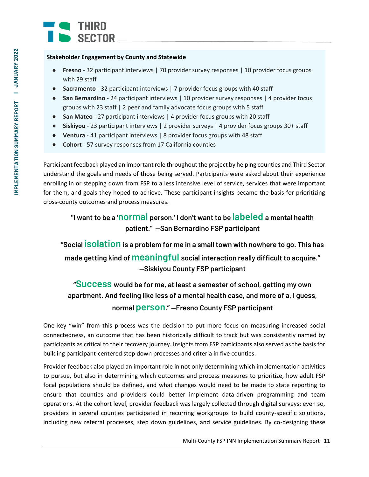#### **Stakeholder Engagement by County and Statewide**

- **Fresno** 32 participant interviews | 70 provider survey responses | 10 provider focus groups with 29 staff
- **Sacramento** 32 participant interviews | 7 provider focus groups with 40 staff
- **San Bernardino** 24 participant interviews | 10 provider survey responses | 4 provider focus groups with 23 staff | 2 peer and family advocate focus groups with 5 staff
- **San Mateo**  27 participant interviews | 4 provider focus groups with 20 staff
- **Siskiyou** 23 participant interviews | 2 provider surveys | 4 provider focus groups 30+ staff
- **Ventura** 41 participant interviews | 8 provider focus groups with 48 staff
- **Cohort** 57 survey responses from 17 California counties

Participant feedback played an important role throughout the project by helping counties and Third Sector understand the goals and needs of those being served. Participants were asked about their experience enrolling in or stepping down from FSP to a less intensive level of service, services that were important for them, and goals they hoped to achieve. These participant insights became the basis for prioritizing cross-county outcomes and process measures.

## **"I want to be a 'normal person.' I don't want to be labeled a mental health patient." —San Bernardino FSP participant**

**"Social isolation is a problem for me in a small town with nowhere to go. This has made getting kind of meaningful social interaction really difficult to acquire." —Siskiyou County FSP participant**

## **"Success would be for me, at least a semester of school, getting my own apartment. And feeling like less of a mental health case, and more of a, I guess, normal person." —Fresno County FSP participant**

One key "win" from this process was the decision to put more focus on measuring increased social connectedness, an outcome that has been historically difficult to track but was consistently named by participants as critical to their recovery journey. Insights from FSP participants also served as the basis for building participant-centered step down processes and criteria in five counties.

Provider feedback also played an important role in not only determining which implementation activities to pursue, but also in determining which outcomes and process measures to prioritize, how adult FSP focal populations should be defined, and what changes would need to be made to state reporting to ensure that counties and providers could better implement data-driven programming and team operations. At the cohort level, provider feedback was largely collected through digital surveys; even so, providers in several counties participated in recurring workgroups to build county-specific solutions, including new referral processes, step down guidelines, and service guidelines. By co-designing these

Multi-County FSP INN Implementation Summary Report 11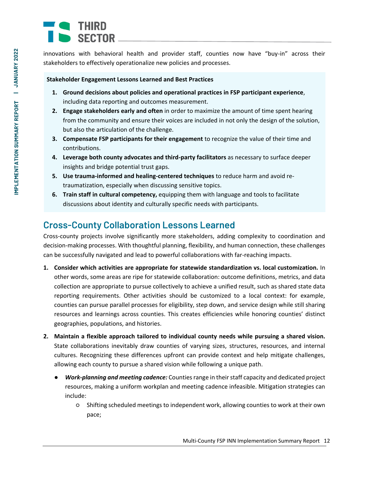innovations with behavioral health and provider staff, counties now have "buy-in" across their stakeholders to effectively operationalize new policies and processes.

### **Stakeholder Engagement Lessons Learned and Best Practices**

- **1. Ground decisions about policies and operational practices in FSP participant experience**, including data reporting and outcomes measurement.
- **2. Engage stakeholders early and often** in order to maximize the amount of time spent hearing from the community and ensure their voices are included in not only the design of the solution, but also the articulation of the challenge.
- **3. Compensate FSP participants for their engagement** to recognize the value of their time and contributions.
- **4. Leverage both county advocates and third-party facilitators** as necessary to surface deeper insights and bridge potential trust gaps.
- **5. Use trauma-informed and healing-centered techniques** to reduce harm and avoid retraumatization, especially when discussing sensitive topics.
- **6. Train staff in cultural competency,** equipping them with language and tools to facilitate discussions about identity and culturally specific needs with participants.

## **Cross-County Collaboration Lessons Learned**

Cross-county projects involve significantly more stakeholders, adding complexity to coordination and decision-making processes. With thoughtful planning, flexibility, and human connection, these challenges can be successfully navigated and lead to powerful collaborations with far-reaching impacts.

- **1. Consider which activities are appropriate for statewide standardization vs. local customization.** In other words, some areas are ripe for statewide collaboration: outcome definitions, metrics, and data collection are appropriate to pursue collectively to achieve a unified result, such as shared state data reporting requirements. Other activities should be customized to a local context: for example, counties can pursue parallel processes for eligibility, step down, and service design while still sharing resources and learnings across counties. This creates efficiencies while honoring counties' distinct geographies, populations, and histories.
- **2. Maintain a flexible approach tailored to individual county needs while pursuing a shared vision.** State collaborations inevitably draw counties of varying sizes, structures, resources, and internal cultures. Recognizing these differences upfront can provide context and help mitigate challenges, allowing each county to pursue a shared vision while following a unique path.
	- *Work-planning and meeting cadence:* Counties range in their staff capacity and dedicated project resources, making a uniform workplan and meeting cadence infeasible. Mitigation strategies can include:
		- Shifting scheduled meetings to independent work, allowing counties to work at their own pace;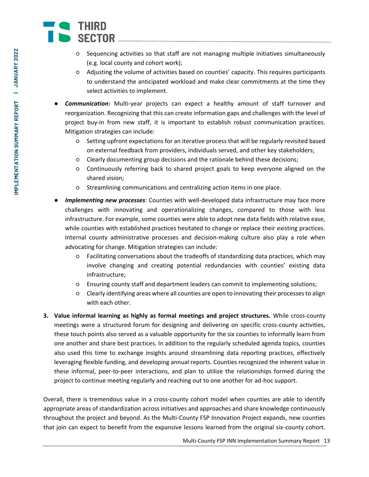- Sequencing activities so that staff are not managing multiple initiatives simultaneously (e.g. local county and cohort work);
- Adjusting the volume of activities based on counties' capacity. This requires participants to understand the anticipated workload and make clear commitments at the time they select activities to implement.
- **Communication:** Multi-year projects can expect a healthy amount of staff turnover and reorganization. Recognizing that this can create information gaps and challenges with the level of project buy-in from new staff, it is important to establish robust communication practices. Mitigation strategies can include:
	- Setting upfront expectations for an iterative process that will be regularly revisited based on external feedback from providers, individuals served, and other key stakeholders;
	- Clearly documenting group decisions and the rationale behind these decisions;
	- Continuously referring back to shared project goals to keep everyone aligned on the shared vision;
	- Streamlining communications and centralizing action items in one place.
- **Implementing new processes**: Counties with well-developed data infrastructure may face more challenges with innovating and operationalizing changes, compared to those with less infrastructure. For example, some counties were able to adopt new data fields with relative ease, while counties with established practices hesitated to change or replace their existing practices. Internal county administrative processes and decision-making culture also play a role when advocating for change. Mitigation strategies can include:
	- Facilitating conversations about the tradeoffs of standardizing data practices, which may involve changing and creating potential redundancies with counties' existing data infrastructure;
	- Ensuring county staff and department leaders can commit to implementing solutions;
	- Clearly identifying areas where all counties are open to innovating their processes to align with each other.
- **3. Value informal learning as highly as formal meetings and project structures.** While cross-county meetings were a structured forum for designing and delivering on specific cross-county activities, these touch points also served as a valuable opportunity for the six counties to informally learn from one another and share best practices. In addition to the regularly scheduled agenda topics, counties also used this time to exchange insights around streamlining data reporting practices, effectively leveraging flexible funding, and developing annual reports. Counties recognized the inherent value in these informal, peer-to-peer interactions, and plan to utilize the relationships formed during the project to continue meeting regularly and reaching out to one another for ad-hoc support.

Overall, there is tremendous value in a cross-county cohort model when counties are able to identify appropriate areas of standardization across initiatives and approaches and share knowledge continuously throughout the project and beyond. As the Multi-County FSP Innovation Project expands, new counties that join can expect to benefit from the expansive lessons learned from the original six-county cohort.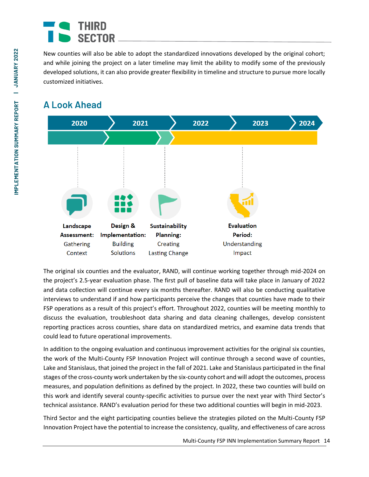New counties will also be able to adopt the standardized innovations developed by the original cohort; and while joining the project on a later timeline may limit the ability to modify some of the previously developed solutions, it can also provide greater flexibility in timeline and structure to pursue more locally customized initiatives.

## **A Look Ahead**



The original six counties and the evaluator, RAND, will continue working together through mid-2024 on the project's 2.5-year evaluation phase. The first pull of baseline data will take place in January of 2022 and data collection will continue every six months thereafter. RAND will also be conducting qualitative interviews to understand if and how participants perceive the changes that counties have made to their FSP operations as a result of this project's effort. Throughout 2022, counties will be meeting monthly to discuss the evaluation, troubleshoot data sharing and data cleaning challenges, develop consistent reporting practices across counties, share data on standardized metrics, and examine data trends that could lead to future operational improvements.

In addition to the ongoing evaluation and continuous improvement activities for the original six counties, the work of the Multi-County FSP Innovation Project will continue through a second wave of counties, Lake and Stanislaus, that joined the project in the fall of 2021. Lake and Stanislaus participated in the final stages of the cross-county work undertaken by the six-county cohort and will adopt the outcomes, process measures, and population definitions as defined by the project. In 2022, these two counties will build on this work and identify several county-specific activities to pursue over the next year with Third Sector's technical assistance. RAND's evaluation period for these two additional counties will begin in mid-2023.

Third Sector and the eight participating counties believe the strategies piloted on the Multi-County FSP Innovation Project have the potential to increase the consistency, quality, and effectiveness of care across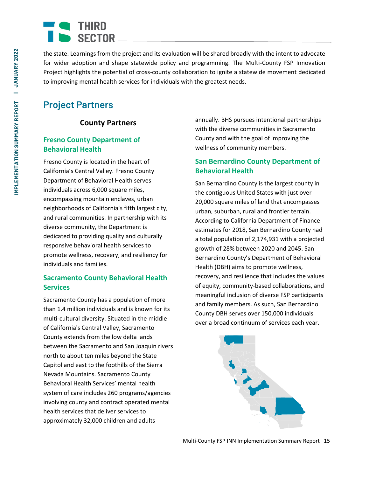the state. Learnings from the project and its evaluation will be shared broadly with the intent to advocate for wider adoption and shape statewide policy and programming. The Multi-County FSP Innovation Project highlights the potential of cross-county collaboration to ignite a statewide movement dedicated to improving mental health services for individuals with the greatest needs.

## **Project Partners**

## **County Partners**

## **Fresno County Department of Behavioral Health**

Fresno County is located in the heart of California's Central Valley. Fresno County Department of Behavioral Health serves individuals across 6,000 square miles, encompassing mountain enclaves, urban neighborhoods of California's fifth largest city, and rural communities. In partnership with its diverse community, the Department is dedicated to providing quality and culturally responsive behavioral health services to promote wellness, recovery, and resiliency for individuals and families.

### **Sacramento County Behavioral Health Services**

Sacramento County has a population of more than 1.4 million individuals and is known for its multi-cultural diversity. Situated in the middle of California's Central Valley, Sacramento County extends from the low delta lands between the Sacramento and San Joaquin rivers north to about ten miles beyond the State Capitol and east to the foothills of the Sierra Nevada Mountains. Sacramento County Behavioral Health Services' mental health system of care includes 260 programs/agencies involving county and contract operated mental health services that deliver services to approximately 32,000 children and adults

annually. BHS pursues intentional partnerships with the diverse communities in Sacramento County and with the goal of improving the wellness of community members.

### **San Bernardino County Department of Behavioral Health**

San Bernardino County is the largest county in the contiguous United States with just over 20,000 square miles of land that encompasses urban, suburban, rural and frontier terrain. According to California Department of Finance estimates for 2018, San Bernardino County had a total population of 2,174,931 with a projected growth of 28% between 2020 and 2045. San Bernardino County's Department of Behavioral Health (DBH) aims to promote wellness, recovery, and resilience that includes the values of equity, community-based collaborations, and meaningful inclusion of diverse FSP participants and family members. As such, San Bernardino County DBH serves over 150,000 individuals over a broad continuum of services each year.

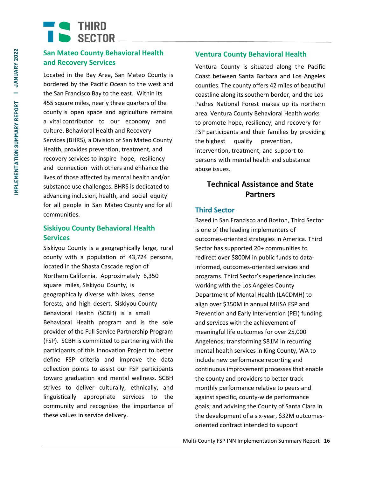# $\blacksquare$   $\blacksquare$   $\blacksquare$   $\blacksquare$   $\blacksquare$   $\blacksquare$   $\blacksquare$   $\blacksquare$   $\blacksquare$   $\blacksquare$   $\blacksquare$   $\blacksquare$   $\blacksquare$   $\blacksquare$   $\blacksquare$ SECTOR

## **San Mateo County Behavioral Health and Recovery Services**

Located in the Bay Area, San Mateo County is bordered by the Pacific Ocean to the west and the San Francisco Bay to the east. Within its 455 square miles, nearly three quarters of the county is open space and agriculture remains a vital contributor to our economy and culture. Behavioral Health and Recovery Services (BHRS), a Division of San Mateo County Health, provides prevention, treatment, and recovery services to inspire hope, resiliency and connection with others and enhance the lives of those affected by mental health and/or substance use challenges. BHRS is dedicated to advancing inclusion, health, and social equity for all people in San Mateo County and for all communities.

### **Siskiyou County Behavioral Health Services**

Siskiyou County is a geographically large, rural county with a population of 43,724 persons, located in the Shasta Cascade region of Northern California. Approximately 6,350 square miles, Siskiyou County, is geographically diverse with lakes, dense forests, and high desert. Siskiyou County Behavioral Health (SCBH) is a small Behavioral Health program and is the sole provider of the Full Service Partnership Program (FSP). SCBH is committed to partnering with the participants of this Innovation Project to better define FSP criteria and improve the data collection points to assist our FSP participants toward graduation and mental wellness. SCBH strives to deliver culturally, ethnically, and linguistically appropriate services to the community and recognizes the importance of these values in service delivery.

### **Ventura County Behavioral Health**

Ventura County is situated along the Pacific Coast between Santa Barbara and Los Angeles counties. The county offers 42 miles of beautiful coastline along its southern border, and the Los Padres National Forest makes up its northern area. Ventura County Behavioral Health works to promote hope, resiliency, and recovery for FSP participants and their families by providing the highest quality prevention, intervention, treatment, and support to persons with mental health and substance abuse issues.

## **Technical Assistance and State Partners**

### **Third Sector**

Based in San Francisco and Boston, Third Sector is one of the leading implementers of outcomes-oriented strategies in America. Third Sector has supported 20+ communities to redirect over \$800M in public funds to datainformed, outcomes-oriented services and programs. Third Sector's experience includes working with the Los Angeles County Department of Mental Health (LACDMH) to align over \$350M in annual MHSA FSP and Prevention and Early Intervention (PEI) funding and services with the achievement of meaningful life outcomes for over 25,000 Angelenos; transforming \$81M in recurring mental health services in King County, WA to include new performance reporting and continuous improvement processes that enable the county and providers to better track monthly performance relative to peers and against specific, county-wide performance goals; and advising the County of Santa Clara in the development of a six-year, \$32M outcomesoriented contract intended to support